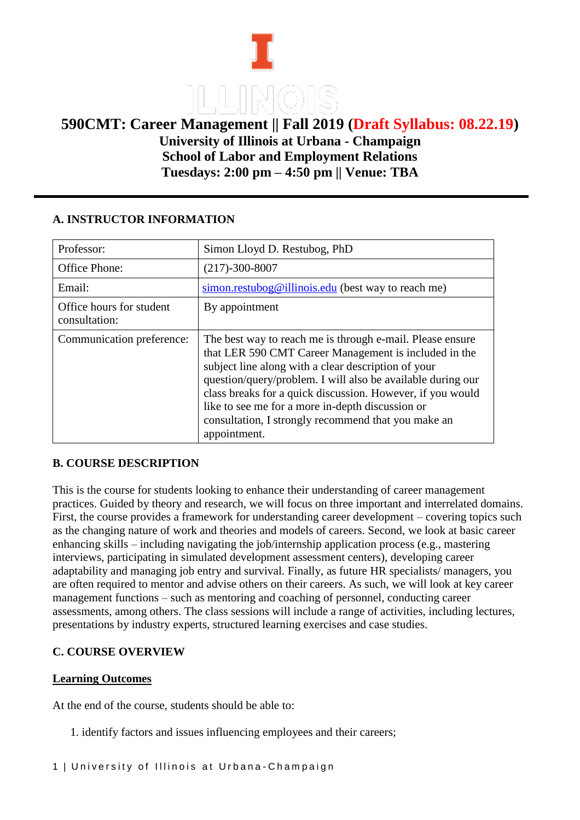# **590CMT: Career Management || Fall 2019 (Draft Syllabus: 08.22.19) University of Illinois at Urbana - Champaign School of Labor and Employment Relations Tuesdays: 2:00 pm – 4:50 pm || Venue: TBA**

## **A. INSTRUCTOR INFORMATION**

| Professor:                                | Simon Lloyd D. Restubog, PhD                                                                                                                                                                                                                                                                                                                                                                                                      |
|-------------------------------------------|-----------------------------------------------------------------------------------------------------------------------------------------------------------------------------------------------------------------------------------------------------------------------------------------------------------------------------------------------------------------------------------------------------------------------------------|
| <b>Office Phone:</b>                      | $(217) - 300 - 8007$                                                                                                                                                                                                                                                                                                                                                                                                              |
| Email:                                    | $\frac{\sin 2\theta}{\sin 2\theta}$ simon.restubog@illinois.edu (best way to reach me)                                                                                                                                                                                                                                                                                                                                            |
| Office hours for student<br>consultation: | By appointment                                                                                                                                                                                                                                                                                                                                                                                                                    |
| Communication preference:                 | The best way to reach me is through e-mail. Please ensure<br>that LER 590 CMT Career Management is included in the<br>subject line along with a clear description of your<br>question/query/problem. I will also be available during our<br>class breaks for a quick discussion. However, if you would<br>like to see me for a more in-depth discussion or<br>consultation, I strongly recommend that you make an<br>appointment. |

## **B. COURSE DESCRIPTION**

This is the course for students looking to enhance their understanding of career management practices. Guided by theory and research, we will focus on three important and interrelated domains. First, the course provides a framework for understanding career development – covering topics such as the changing nature of work and theories and models of careers. Second, we look at basic career enhancing skills – including navigating the job/internship application process (e.g., mastering interviews, participating in simulated development assessment centers), developing career adaptability and managing job entry and survival. Finally, as future HR specialists/ managers, you are often required to mentor and advise others on their careers. As such, we will look at key career management functions – such as mentoring and coaching of personnel, conducting career assessments, among others. The class sessions will include a range of activities, including lectures, presentations by industry experts, structured learning exercises and case studies.

## **C. COURSE OVERVIEW**

#### **Learning Outcomes**

At the end of the course, students should be able to:

1. identify factors and issues influencing employees and their careers;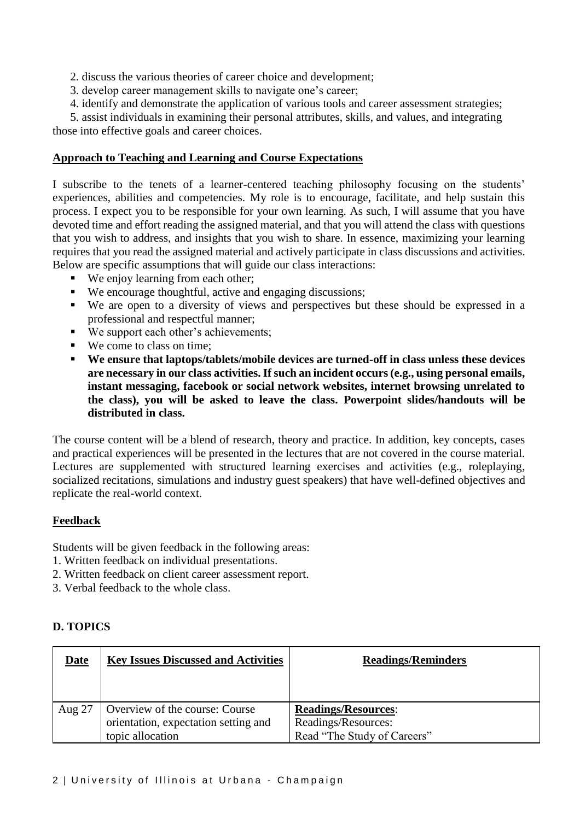2. discuss the various theories of career choice and development;

- 3. develop career management skills to navigate one's career;
- 4. identify and demonstrate the application of various tools and career assessment strategies;

5. assist individuals in examining their personal attributes, skills, and values, and integrating those into effective goals and career choices.

### **Approach to Teaching and Learning and Course Expectations**

I subscribe to the tenets of a learner-centered teaching philosophy focusing on the students' experiences, abilities and competencies. My role is to encourage, facilitate, and help sustain this process. I expect you to be responsible for your own learning. As such, I will assume that you have devoted time and effort reading the assigned material, and that you will attend the class with questions that you wish to address, and insights that you wish to share. In essence, maximizing your learning requires that you read the assigned material and actively participate in class discussions and activities. Below are specific assumptions that will guide our class interactions:

- We enjoy learning from each other;
- We encourage thoughtful, active and engaging discussions;
- We are open to a diversity of views and perspectives but these should be expressed in a professional and respectful manner;
- We support each other's achievements;
- We come to class on time;
- **We ensure that laptops/tablets/mobile devices are turned-off in class unless these devices are necessary in our class activities. If such an incident occurs (e.g., using personal emails, instant messaging, facebook or social network websites, internet browsing unrelated to the class), you will be asked to leave the class. Powerpoint slides/handouts will be distributed in class.**

The course content will be a blend of research, theory and practice. In addition, key concepts, cases and practical experiences will be presented in the lectures that are not covered in the course material. Lectures are supplemented with structured learning exercises and activities (e.g., roleplaying, socialized recitations, simulations and industry guest speakers) that have well-defined objectives and replicate the real-world context.

## **Feedback**

Students will be given feedback in the following areas:

- 1. Written feedback on individual presentations.
- 2. Written feedback on client career assessment report.
- 3. Verbal feedback to the whole class.

## **D. TOPICS**

| Date   | <b>Key Issues Discussed and Activities</b>                                                 | <b>Readings/Reminders</b>                                                        |
|--------|--------------------------------------------------------------------------------------------|----------------------------------------------------------------------------------|
| Aug 27 | Overview of the course: Course<br>orientation, expectation setting and<br>topic allocation | <b>Readings/Resources:</b><br>Readings/Resources:<br>Read "The Study of Careers" |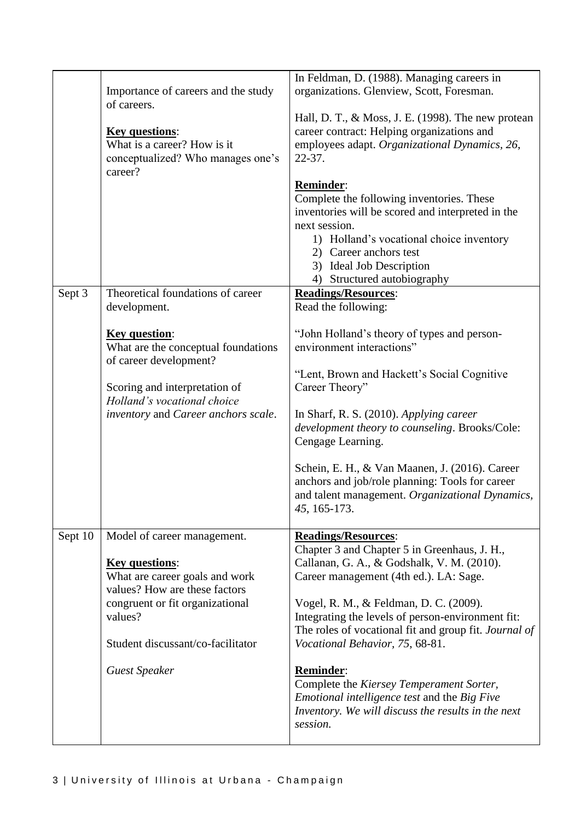|         |                                                                  | In Feldman, D. (1988). Managing careers in                                                         |
|---------|------------------------------------------------------------------|----------------------------------------------------------------------------------------------------|
|         | Importance of careers and the study                              | organizations. Glenview, Scott, Foresman.                                                          |
|         | of careers.                                                      | Hall, D. T., & Moss, J. E. (1998). The new protean                                                 |
|         | <b>Key questions:</b>                                            | career contract: Helping organizations and                                                         |
|         | What is a career? How is it                                      | employees adapt. Organizational Dynamics, 26,                                                      |
|         | conceptualized? Who manages one's                                | $22 - 37$ .                                                                                        |
|         | career?                                                          | Reminder:                                                                                          |
|         |                                                                  | Complete the following inventories. These                                                          |
|         |                                                                  | inventories will be scored and interpreted in the                                                  |
|         |                                                                  | next session.                                                                                      |
|         |                                                                  | 1) Holland's vocational choice inventory<br>2) Career anchors test                                 |
|         |                                                                  | 3) Ideal Job Description                                                                           |
|         |                                                                  | Structured autobiography<br>4)                                                                     |
| Sept 3  | Theoretical foundations of career<br>development.                | <b>Readings/Resources:</b><br>Read the following:                                                  |
|         |                                                                  |                                                                                                    |
|         | <b>Key question:</b>                                             | "John Holland's theory of types and person-                                                        |
|         | What are the conceptual foundations<br>of career development?    | environment interactions"                                                                          |
|         |                                                                  | "Lent, Brown and Hackett's Social Cognitive                                                        |
|         | Scoring and interpretation of                                    | Career Theory"                                                                                     |
|         | Holland's vocational choice                                      |                                                                                                    |
|         | inventory and Career anchors scale.                              | In Sharf, R. S. (2010). Applying career<br>development theory to counseling. Brooks/Cole:          |
|         |                                                                  | Cengage Learning.                                                                                  |
|         |                                                                  |                                                                                                    |
|         |                                                                  | Schein, E. H., & Van Maanen, J. (2016). Career<br>anchors and job/role planning: Tools for career  |
|         |                                                                  | and talent management. Organizational Dynamics,                                                    |
|         |                                                                  | 45, 165-173.                                                                                       |
| Sept 10 | Model of career management.                                      | <b>Readings/Resources:</b>                                                                         |
|         |                                                                  | Chapter 3 and Chapter 5 in Greenhaus, J. H.,                                                       |
|         | <b>Key questions:</b>                                            | Callanan, G. A., & Godshalk, V. M. (2010).                                                         |
|         | What are career goals and work                                   | Career management (4th ed.). LA: Sage.                                                             |
|         | values? How are these factors<br>congruent or fit organizational | Vogel, R. M., & Feldman, D. C. (2009).                                                             |
|         | values?                                                          | Integrating the levels of person-environment fit:                                                  |
|         |                                                                  | The roles of vocational fit and group fit. Journal of                                              |
|         | Student discussant/co-facilitator                                | Vocational Behavior, 75, 68-81.                                                                    |
|         | <b>Guest Speaker</b>                                             | <b>Reminder:</b>                                                                                   |
|         |                                                                  | Complete the Kiersey Temperament Sorter,                                                           |
|         |                                                                  | Emotional intelligence test and the Big Five<br>Inventory. We will discuss the results in the next |
|         |                                                                  | session.                                                                                           |
|         |                                                                  |                                                                                                    |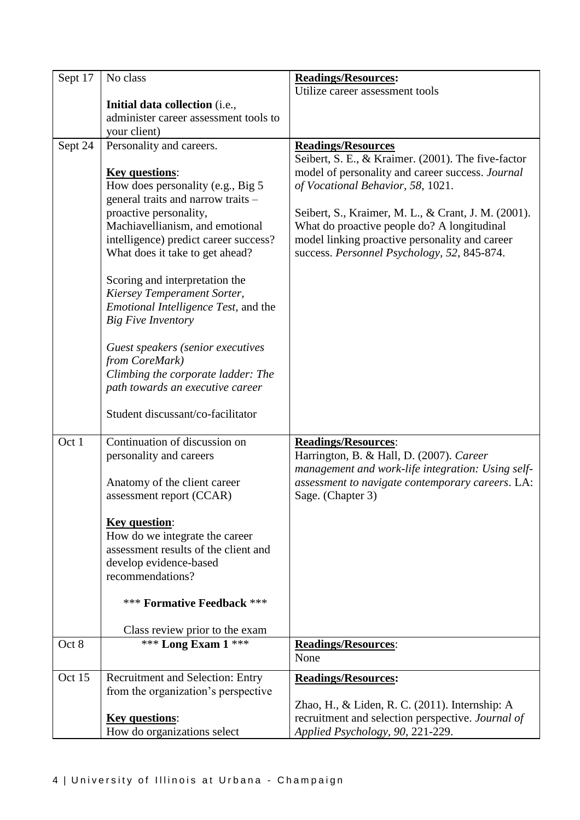| Sept 17 | No class                                                                | <b>Readings/Resources:</b>                          |
|---------|-------------------------------------------------------------------------|-----------------------------------------------------|
|         |                                                                         | Utilize career assessment tools                     |
|         | Initial data collection (i.e.,                                          |                                                     |
|         | administer career assessment tools to                                   |                                                     |
|         | your client)                                                            |                                                     |
| Sept 24 | Personality and careers.                                                | <b>Readings/Resources</b>                           |
|         |                                                                         | Seibert, S. E., & Kraimer. (2001). The five-factor  |
|         | <b>Key questions:</b>                                                   | model of personality and career success. Journal    |
|         | How does personality (e.g., Big 5<br>general traits and narrow traits - | of Vocational Behavior, 58, 1021.                   |
|         | proactive personality,                                                  | Seibert, S., Kraimer, M. L., & Crant, J. M. (2001). |
|         | Machiavellianism, and emotional                                         | What do proactive people do? A longitudinal         |
|         | intelligence) predict career success?                                   | model linking proactive personality and career      |
|         | What does it take to get ahead?                                         | success. Personnel Psychology, 52, 845-874.         |
|         |                                                                         |                                                     |
|         | Scoring and interpretation the                                          |                                                     |
|         | Kiersey Temperament Sorter,                                             |                                                     |
|         | <i>Emotional Intelligence Test, and the</i>                             |                                                     |
|         | <b>Big Five Inventory</b>                                               |                                                     |
|         |                                                                         |                                                     |
|         | Guest speakers (senior executives                                       |                                                     |
|         | from CoreMark)                                                          |                                                     |
|         | Climbing the corporate ladder: The                                      |                                                     |
|         | path towards an executive career                                        |                                                     |
|         | Student discussant/co-facilitator                                       |                                                     |
|         |                                                                         |                                                     |
| Oct 1   | Continuation of discussion on                                           | <b>Readings/Resources:</b>                          |
|         | personality and careers                                                 | Harrington, B. & Hall, D. (2007). Career            |
|         |                                                                         | management and work-life integration: Using self-   |
|         | Anatomy of the client career                                            | assessment to navigate contemporary careers. LA:    |
|         | assessment report (CCAR)                                                | Sage. (Chapter 3)                                   |
|         |                                                                         |                                                     |
|         | <b>Key question:</b>                                                    |                                                     |
|         | How do we integrate the career<br>assessment results of the client and  |                                                     |
|         | develop evidence-based                                                  |                                                     |
|         | recommendations?                                                        |                                                     |
|         |                                                                         |                                                     |
|         | *** Formative Feedback ***                                              |                                                     |
|         |                                                                         |                                                     |
| Oct 8   | Class review prior to the exam<br>*** Long Exam 1 ***                   | <b>Readings/Resources:</b>                          |
|         |                                                                         | None                                                |
|         |                                                                         |                                                     |
| Oct 15  | <b>Recruitment and Selection: Entry</b>                                 | <b>Readings/Resources:</b>                          |
|         | from the organization's perspective                                     | Zhao, H., & Liden, R. C. (2011). Internship: A      |
|         | <b>Key questions:</b>                                                   | recruitment and selection perspective. Journal of   |
|         | How do organizations select                                             | Applied Psychology, 90, 221-229.                    |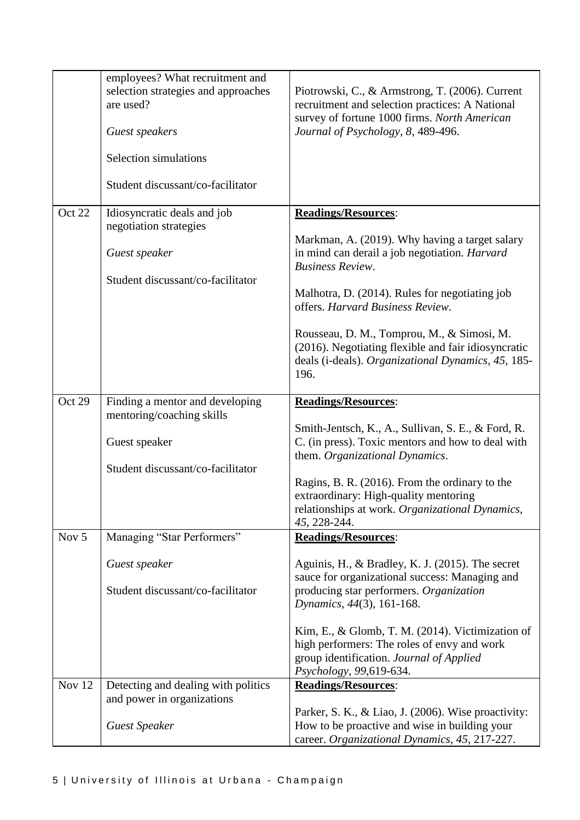|        | employees? What recruitment and<br>selection strategies and approaches<br>are used?<br>Guest speakers<br>Selection simulations<br>Student discussant/co-facilitator | Piotrowski, C., & Armstrong, T. (2006). Current<br>recruitment and selection practices: A National<br>survey of fortune 1000 firms. North American<br>Journal of Psychology, 8, 489-496.                                                                                                                                                                                                                                 |
|--------|---------------------------------------------------------------------------------------------------------------------------------------------------------------------|--------------------------------------------------------------------------------------------------------------------------------------------------------------------------------------------------------------------------------------------------------------------------------------------------------------------------------------------------------------------------------------------------------------------------|
| Oct 22 | Idiosyncratic deals and job<br>negotiation strategies<br>Guest speaker<br>Student discussant/co-facilitator                                                         | <b>Readings/Resources:</b><br>Markman, A. (2019). Why having a target salary<br>in mind can derail a job negotiation. <i>Harvard</i><br><b>Business Review.</b><br>Malhotra, D. (2014). Rules for negotiating job<br>offers. Harvard Business Review.<br>Rousseau, D. M., Tomprou, M., & Simosi, M.<br>(2016). Negotiating flexible and fair idiosyncratic<br>deals (i-deals). Organizational Dynamics, 45, 185-<br>196. |
| Oct 29 | Finding a mentor and developing<br>mentoring/coaching skills<br>Guest speaker<br>Student discussant/co-facilitator                                                  | <b>Readings/Resources:</b><br>Smith-Jentsch, K., A., Sullivan, S. E., & Ford, R.<br>C. (in press). Toxic mentors and how to deal with<br>them. Organizational Dynamics.<br>Ragins, B. R. (2016). From the ordinary to the<br>extraordinary: High-quality mentoring<br>relationships at work. Organizational Dynamics,<br>45, 228-244.                                                                                    |
| Nov 5  | Managing "Star Performers"<br>Guest speaker<br>Student discussant/co-facilitator                                                                                    | <b>Readings/Resources:</b><br>Aguinis, H., & Bradley, K. J. (2015). The secret<br>sauce for organizational success: Managing and<br>producing star performers. Organization<br>Dynamics, 44(3), 161-168.<br>Kim, E., & Glomb, T. M. $(2014)$ . Victimization of<br>high performers: The roles of envy and work<br>group identification. Journal of Applied<br>Psychology, 99,619-634.                                    |
| Nov 12 | Detecting and dealing with politics<br>and power in organizations<br><b>Guest Speaker</b>                                                                           | <b>Readings/Resources:</b><br>Parker, S. K., & Liao, J. (2006). Wise proactivity:<br>How to be proactive and wise in building your<br>career. Organizational Dynamics, 45, 217-227.                                                                                                                                                                                                                                      |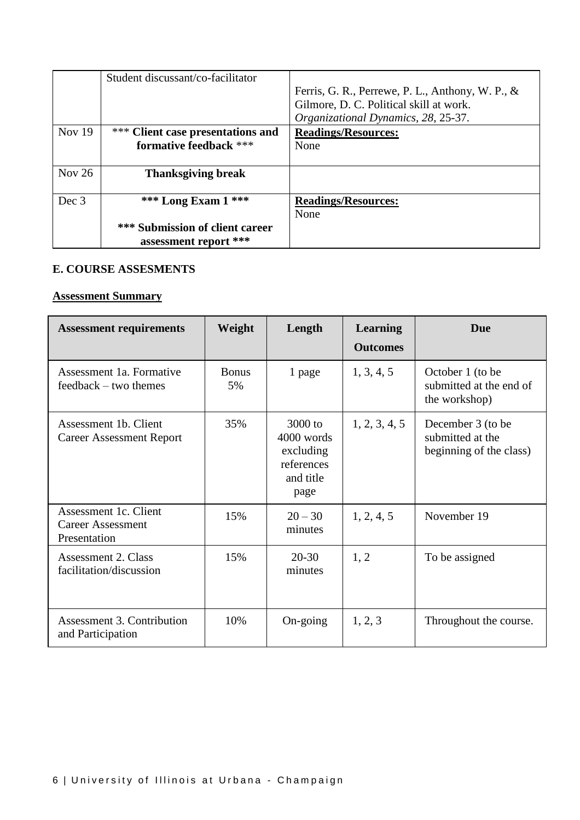|          | Student discussant/co-facilitator |                                                  |
|----------|-----------------------------------|--------------------------------------------------|
|          |                                   | Ferris, G. R., Perrewe, P. L., Anthony, W. P., & |
|          |                                   | Gilmore, D. C. Political skill at work.          |
|          |                                   | Organizational Dynamics, 28, 25-37.              |
| Nov $19$ | *** Client case presentations and | <b>Readings/Resources:</b>                       |
|          | formative feedback ***            | None                                             |
|          |                                   |                                                  |
| Nov $26$ | <b>Thanksgiving break</b>         |                                                  |
|          |                                   |                                                  |
| Dec 3    | *** Long Exam $1$ ***             | <b>Readings/Resources:</b>                       |
|          |                                   | None                                             |
|          | *** Submission of client career   |                                                  |
|          | assessment report ***             |                                                  |

#### **E. COURSE ASSESMENTS**

# **Assessment Summary**

| <b>Assessment requirements</b>                                    | Weight             | Length                                                                | <b>Learning</b><br><b>Outcomes</b> | Due                                                              |
|-------------------------------------------------------------------|--------------------|-----------------------------------------------------------------------|------------------------------------|------------------------------------------------------------------|
| Assessment 1a. Formative<br>feedback – two themes                 | <b>Bonus</b><br>5% | 1 page                                                                | 1, 3, 4, 5                         | October 1 (to be<br>submitted at the end of<br>the workshop)     |
| Assessment 1b. Client<br><b>Career Assessment Report</b>          | 35%                | 3000 to<br>4000 words<br>excluding<br>references<br>and title<br>page | 1, 2, 3, 4, 5                      | December 3 (to be<br>submitted at the<br>beginning of the class) |
| Assessment 1c. Client<br><b>Career Assessment</b><br>Presentation | 15%                | $20 - 30$<br>minutes                                                  | 1, 2, 4, 5                         | November 19                                                      |
| Assessment 2. Class<br>facilitation/discussion                    | 15%                | $20 - 30$<br>minutes                                                  | 1, 2                               | To be assigned                                                   |
| Assessment 3. Contribution<br>and Participation                   | 10%                | On-going                                                              | 1, 2, 3                            | Throughout the course.                                           |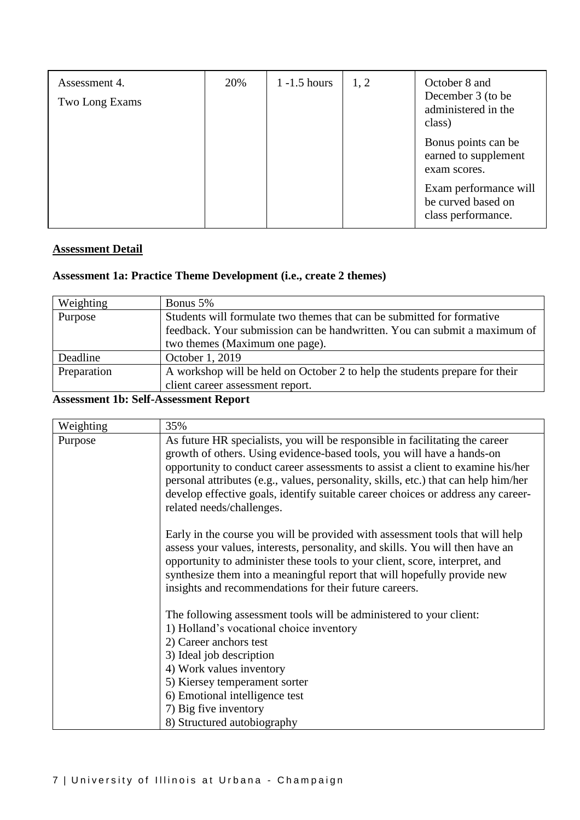| Assessment 4.<br>Two Long Exams | 20% | $1 - 1.5$ hours | 1, 2 | October 8 and<br>December 3 (to be<br>administered in the<br>class) |
|---------------------------------|-----|-----------------|------|---------------------------------------------------------------------|
|                                 |     |                 |      | Bonus points can be<br>earned to supplement<br>exam scores.         |
|                                 |     |                 |      | Exam performance will<br>be curved based on<br>class performance.   |

## **Assessment Detail**

# **Assessment 1a: Practice Theme Development (i.e., create 2 themes)**

| Weighting   | Bonus 5%                                                                    |
|-------------|-----------------------------------------------------------------------------|
| Purpose     | Students will formulate two themes that can be submitted for formative      |
|             | feedback. Your submission can be handwritten. You can submit a maximum of   |
|             | two themes (Maximum one page).                                              |
| Deadline    | October 1, 2019                                                             |
| Preparation | A workshop will be held on October 2 to help the students prepare for their |
|             | client career assessment report.                                            |

## **Assessment 1b: Self-Assessment Report**

| Weighting | 35%                                                                                                                                                                                                                                                                                                                                                                                                                                               |
|-----------|---------------------------------------------------------------------------------------------------------------------------------------------------------------------------------------------------------------------------------------------------------------------------------------------------------------------------------------------------------------------------------------------------------------------------------------------------|
| Purpose   | As future HR specialists, you will be responsible in facilitating the career<br>growth of others. Using evidence-based tools, you will have a hands-on<br>opportunity to conduct career assessments to assist a client to examine his/her<br>personal attributes (e.g., values, personality, skills, etc.) that can help him/her<br>develop effective goals, identify suitable career choices or address any career-<br>related needs/challenges. |
|           | Early in the course you will be provided with assessment tools that will help<br>assess your values, interests, personality, and skills. You will then have an<br>opportunity to administer these tools to your client, score, interpret, and<br>synthesize them into a meaningful report that will hopefully provide new<br>insights and recommendations for their future careers.                                                               |
|           | The following assessment tools will be administered to your client:<br>1) Holland's vocational choice inventory<br>2) Career anchors test<br>3) Ideal job description<br>4) Work values inventory<br>5) Kiersey temperament sorter<br>6) Emotional intelligence test<br>7) Big five inventory<br>8) Structured autobiography                                                                                                                      |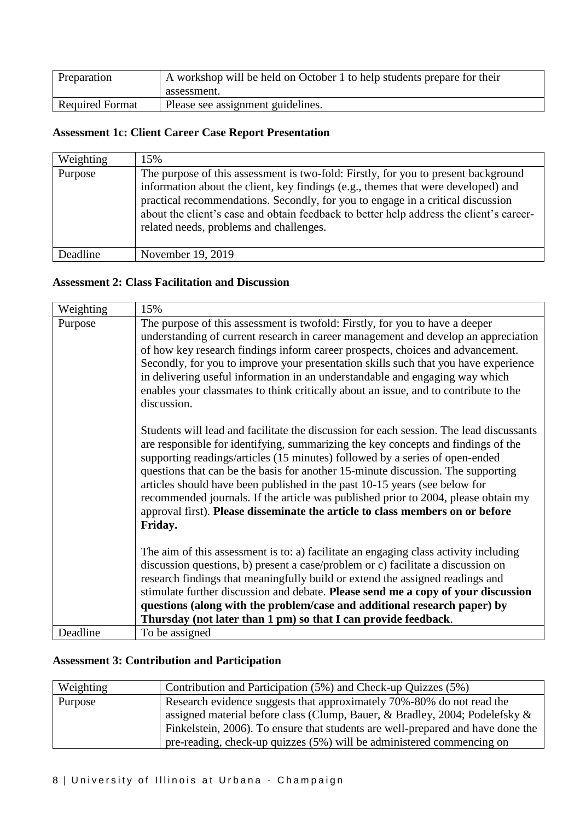| Preparation            | A workshop will be held on October 1 to help students prepare for their<br>assessment. |
|------------------------|----------------------------------------------------------------------------------------|
| <b>Required Format</b> | Please see assignment guidelines.                                                      |

## **Assessment 1c: Client Career Case Report Presentation**

| Weighting | 15%                                                                                                                                                                                                                                                                                                                                                                                              |
|-----------|--------------------------------------------------------------------------------------------------------------------------------------------------------------------------------------------------------------------------------------------------------------------------------------------------------------------------------------------------------------------------------------------------|
| Purpose   | The purpose of this assessment is two-fold: Firstly, for you to present background<br>information about the client, key findings (e.g., themes that were developed) and<br>practical recommendations. Secondly, for you to engage in a critical discussion<br>about the client's case and obtain feedback to better help address the client's career-<br>related needs, problems and challenges. |
| Deadline  | November 19, 2019                                                                                                                                                                                                                                                                                                                                                                                |

## **Assessment 2: Class Facilitation and Discussion**

| Weighting | 15%                                                                                                                                                                                                                                                                                                                                                                                                                                                                                                                                                                                                              |
|-----------|------------------------------------------------------------------------------------------------------------------------------------------------------------------------------------------------------------------------------------------------------------------------------------------------------------------------------------------------------------------------------------------------------------------------------------------------------------------------------------------------------------------------------------------------------------------------------------------------------------------|
| Purpose   | The purpose of this assessment is twofold: Firstly, for you to have a deeper<br>understanding of current research in career management and develop an appreciation<br>of how key research findings inform career prospects, choices and advancement.<br>Secondly, for you to improve your presentation skills such that you have experience<br>in delivering useful information in an understandable and engaging way which<br>enables your classmates to think critically about an issue, and to contribute to the<br>discussion.                                                                               |
|           | Students will lead and facilitate the discussion for each session. The lead discussants<br>are responsible for identifying, summarizing the key concepts and findings of the<br>supporting readings/articles (15 minutes) followed by a series of open-ended<br>questions that can be the basis for another 15-minute discussion. The supporting<br>articles should have been published in the past 10-15 years (see below for<br>recommended journals. If the article was published prior to 2004, please obtain my<br>approval first). Please disseminate the article to class members on or before<br>Friday. |
|           | The aim of this assessment is to: a) facilitate an engaging class activity including<br>discussion questions, b) present a case/problem or c) facilitate a discussion on<br>research findings that meaningfully build or extend the assigned readings and<br>stimulate further discussion and debate. Please send me a copy of your discussion<br>questions (along with the problem/case and additional research paper) by<br>Thursday (not later than 1 pm) so that I can provide feedback.                                                                                                                     |
| Deadline  | To be assigned                                                                                                                                                                                                                                                                                                                                                                                                                                                                                                                                                                                                   |

# **Assessment 3: Contribution and Participation**

| Weighting | Contribution and Participation (5%) and Check-up Quizzes (5%)                   |
|-----------|---------------------------------------------------------------------------------|
| Purpose   | Research evidence suggests that approximately 70%-80% do not read the           |
|           | assigned material before class (Clump, Bauer, & Bradley, 2004; Podelefsky $\&$  |
|           | Finkelstein, 2006). To ensure that students are well-prepared and have done the |
|           | pre-reading, check-up quizzes (5%) will be administered commencing on           |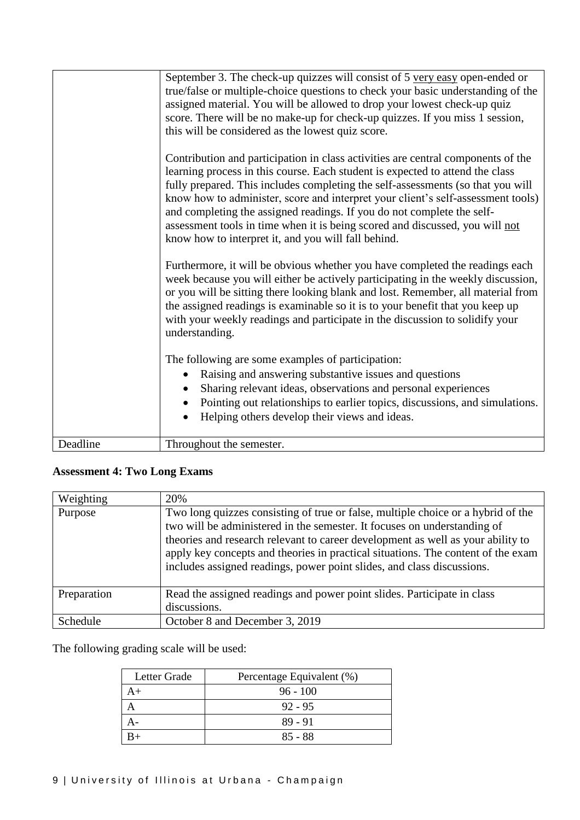|          | September 3. The check-up quizzes will consist of 5 very easy open-ended or<br>true/false or multiple-choice questions to check your basic understanding of the<br>assigned material. You will be allowed to drop your lowest check-up quiz<br>score. There will be no make-up for check-up quizzes. If you miss 1 session,<br>this will be considered as the lowest quiz score.                                                                                                                                                                          |
|----------|-----------------------------------------------------------------------------------------------------------------------------------------------------------------------------------------------------------------------------------------------------------------------------------------------------------------------------------------------------------------------------------------------------------------------------------------------------------------------------------------------------------------------------------------------------------|
|          | Contribution and participation in class activities are central components of the<br>learning process in this course. Each student is expected to attend the class<br>fully prepared. This includes completing the self-assessments (so that you will<br>know how to administer, score and interpret your client's self-assessment tools)<br>and completing the assigned readings. If you do not complete the self-<br>assessment tools in time when it is being scored and discussed, you will not<br>know how to interpret it, and you will fall behind. |
|          | Furthermore, it will be obvious whether you have completed the readings each<br>week because you will either be actively participating in the weekly discussion,<br>or you will be sitting there looking blank and lost. Remember, all material from<br>the assigned readings is examinable so it is to your benefit that you keep up<br>with your weekly readings and participate in the discussion to solidify your<br>understanding.                                                                                                                   |
|          | The following are some examples of participation:<br>Raising and answering substantive issues and questions<br>$\bullet$<br>Sharing relevant ideas, observations and personal experiences<br>Pointing out relationships to earlier topics, discussions, and simulations.<br>$\bullet$<br>Helping others develop their views and ideas.                                                                                                                                                                                                                    |
| Deadline | Throughout the semester.                                                                                                                                                                                                                                                                                                                                                                                                                                                                                                                                  |

# **Assessment 4: Two Long Exams**

| Weighting   | 20%                                                                                                                                                                                                                                                                                                                                                                                                           |
|-------------|---------------------------------------------------------------------------------------------------------------------------------------------------------------------------------------------------------------------------------------------------------------------------------------------------------------------------------------------------------------------------------------------------------------|
| Purpose     | Two long quizzes consisting of true or false, multiple choice or a hybrid of the<br>two will be administered in the semester. It focuses on understanding of<br>theories and research relevant to career development as well as your ability to<br>apply key concepts and theories in practical situations. The content of the exam<br>includes assigned readings, power point slides, and class discussions. |
| Preparation | Read the assigned readings and power point slides. Participate in class<br>discussions.                                                                                                                                                                                                                                                                                                                       |
| Schedule    | October 8 and December 3, 2019                                                                                                                                                                                                                                                                                                                                                                                |

The following grading scale will be used:

| Letter Grade | Percentage Equivalent (%) |
|--------------|---------------------------|
|              | $96 - 100$                |
|              | $92 - 95$                 |
|              | 89 - 91                   |
|              | $85 - 88$                 |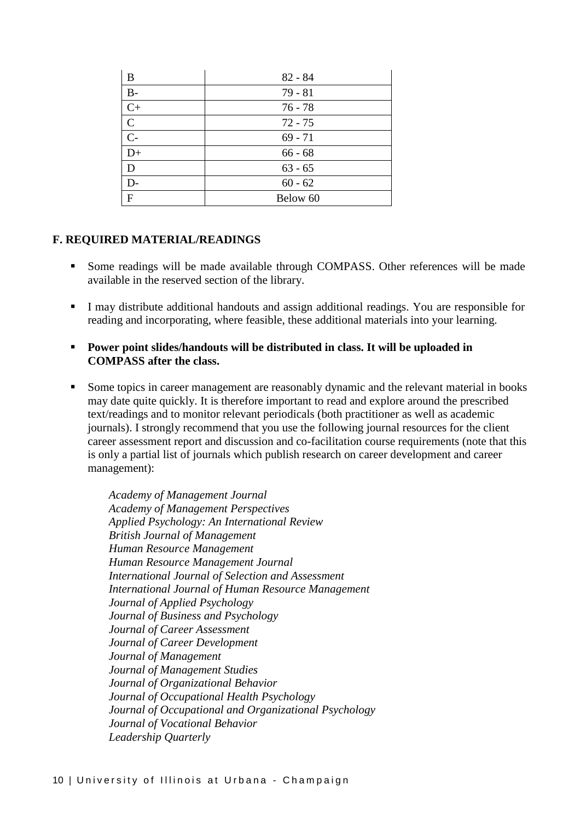| B             | $82 - 84$ |
|---------------|-----------|
| $B-$          | $79 - 81$ |
| $C+$          | $76 - 78$ |
| $\mathcal{C}$ | $72 - 75$ |
| $C-$          | $69 - 71$ |
| $D+$          | $66 - 68$ |
| D             | $63 - 65$ |
| D-            | $60 - 62$ |
| F             | Below 60  |

### **F. REQUIRED MATERIAL/READINGS**

- Some readings will be made available through COMPASS. Other references will be made available in the reserved section of the library.
- I may distribute additional handouts and assign additional readings. You are responsible for reading and incorporating, where feasible, these additional materials into your learning.
- **Power point slides/handouts will be distributed in class. It will be uploaded in COMPASS after the class.**
- Some topics in career management are reasonably dynamic and the relevant material in books may date quite quickly. It is therefore important to read and explore around the prescribed text/readings and to monitor relevant periodicals (both practitioner as well as academic journals). I strongly recommend that you use the following journal resources for the client career assessment report and discussion and co-facilitation course requirements (note that this is only a partial list of journals which publish research on career development and career management):

*Academy of Management Journal Academy of Management Perspectives Applied Psychology: An International Review British Journal of Management Human Resource Management Human Resource Management Journal International Journal of Selection and Assessment International Journal of Human Resource Management Journal of Applied Psychology Journal of Business and Psychology Journal of Career Assessment Journal of Career Development Journal of Management Journal of Management Studies Journal of Organizational Behavior Journal of Occupational Health Psychology Journal of Occupational and Organizational Psychology Journal of Vocational Behavior Leadership Quarterly*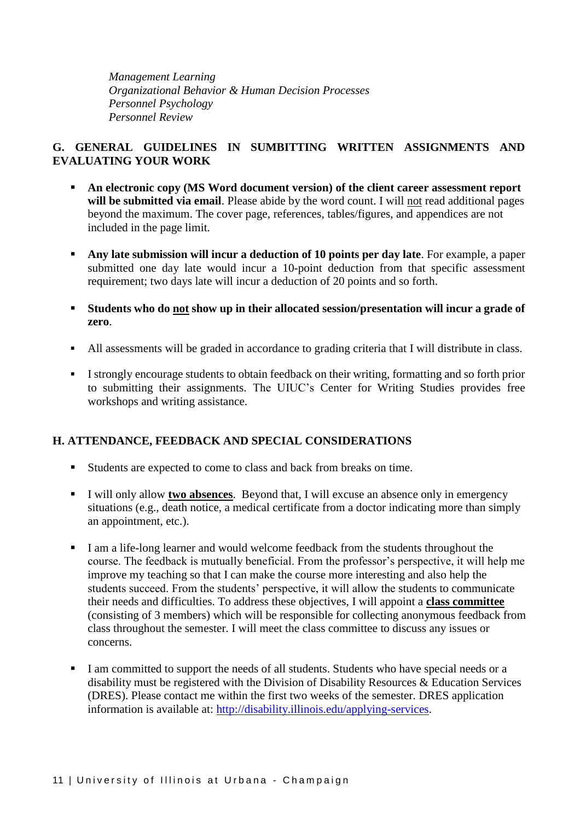*Management Learning Organizational Behavior & Human Decision Processes Personnel Psychology Personnel Review*

## **G. GENERAL GUIDELINES IN SUMBITTING WRITTEN ASSIGNMENTS AND EVALUATING YOUR WORK**

- **An electronic copy (MS Word document version) of the client career assessment report**  will be submitted via email. Please abide by the word count. I will not read additional pages beyond the maximum. The cover page, references, tables/figures, and appendices are not included in the page limit.
- **Any late submission will incur a deduction of 10 points per day late**. For example, a paper submitted one day late would incur a 10-point deduction from that specific assessment requirement; two days late will incur a deduction of 20 points and so forth.
- **Students who do not show up in their allocated session/presentation will incur a grade of zero**.
- All assessments will be graded in accordance to grading criteria that I will distribute in class.
- I strongly encourage students to obtain feedback on their writing, formatting and so forth prior to submitting their assignments. The UIUC's Center for Writing Studies provides free workshops and writing assistance.

## **H. ATTENDANCE, FEEDBACK AND SPECIAL CONSIDERATIONS**

- Students are expected to come to class and back from breaks on time.
- I will only allow **two absences**. Beyond that, I will excuse an absence only in emergency situations (e.g., death notice, a medical certificate from a doctor indicating more than simply an appointment, etc.).
- I am a life-long learner and would welcome feedback from the students throughout the course. The feedback is mutually beneficial. From the professor's perspective, it will help me improve my teaching so that I can make the course more interesting and also help the students succeed. From the students' perspective, it will allow the students to communicate their needs and difficulties. To address these objectives, I will appoint a **class committee** (consisting of 3 members) which will be responsible for collecting anonymous feedback from class throughout the semester. I will meet the class committee to discuss any issues or concerns.
- I am committed to support the needs of all students. Students who have special needs or a disability must be registered with the Division of Disability Resources & Education Services (DRES). Please contact me within the first two weeks of the semester. DRES application information is available at: [http://disability.illinois.edu/applying-services.](http://disability.illinois.edu/applying-services)